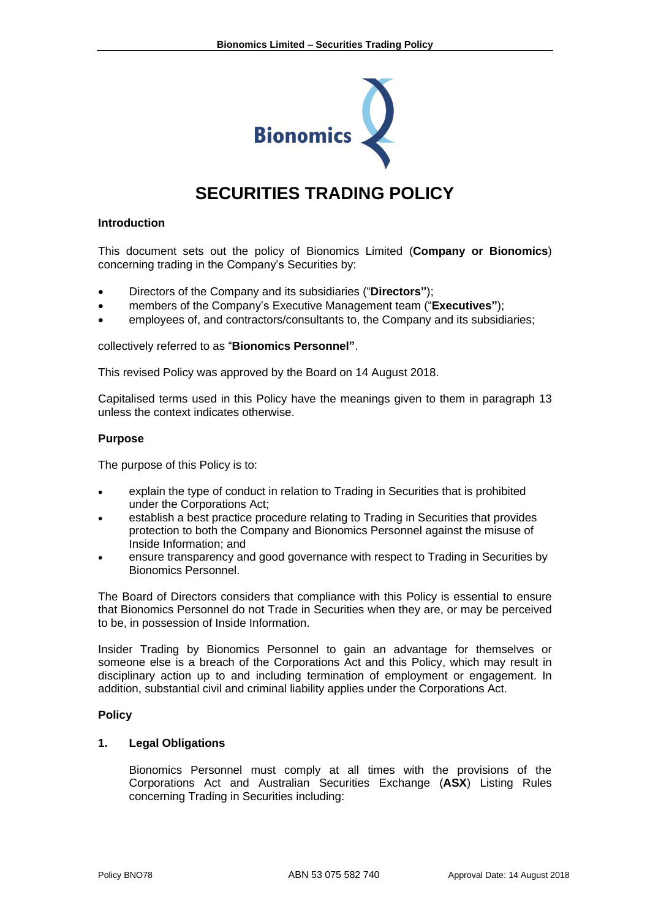

# **SECURITIES TRADING POLICY**

#### **Introduction**

This document sets out the policy of Bionomics Limited (**Company or Bionomics**) concerning trading in the Company's Securities by:

- Directors of the Company and its subsidiaries ("**Directors"**);
- members of the Company's Executive Management team ("**Executives"**);
- employees of, and contractors/consultants to, the Company and its subsidiaries;

collectively referred to as "**Bionomics Personnel"**.

This revised Policy was approved by the Board on 14 August 2018.

Capitalised terms used in this Policy have the meanings given to them in paragraph 13 unless the context indicates otherwise.

#### **Purpose**

The purpose of this Policy is to:

- explain the type of conduct in relation to Trading in Securities that is prohibited under the Corporations Act;
- establish a best practice procedure relating to Trading in Securities that provides protection to both the Company and Bionomics Personnel against the misuse of Inside Information; and
- ensure transparency and good governance with respect to Trading in Securities by Bionomics Personnel.

The Board of Directors considers that compliance with this Policy is essential to ensure that Bionomics Personnel do not Trade in Securities when they are, or may be perceived to be, in possession of Inside Information.

Insider Trading by Bionomics Personnel to gain an advantage for themselves or someone else is a breach of the Corporations Act and this Policy, which may result in disciplinary action up to and including termination of employment or engagement. In addition, substantial civil and criminal liability applies under the Corporations Act.

#### **Policy**

#### **1. Legal Obligations**

Bionomics Personnel must comply at all times with the provisions of the Corporations Act and Australian Securities Exchange (**ASX**) Listing Rules concerning Trading in Securities including: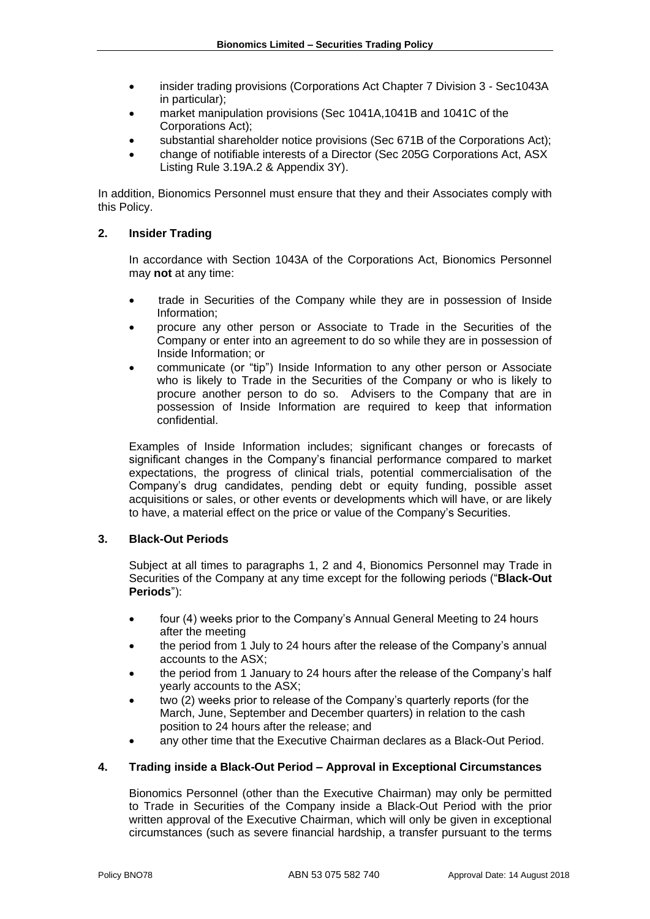- insider trading provisions (Corporations Act Chapter 7 Division 3 Sec1043A in particular);
- market manipulation provisions (Sec 1041A,1041B and 1041C of the Corporations Act);
- substantial shareholder notice provisions (Sec 671B of the Corporations Act);
- change of notifiable interests of a Director (Sec 205G Corporations Act, ASX Listing Rule 3.19A.2 & Appendix 3Y).

In addition, Bionomics Personnel must ensure that they and their Associates comply with this Policy.

# **2. Insider Trading**

In accordance with Section 1043A of the Corporations Act, Bionomics Personnel may **not** at any time:

- trade in Securities of the Company while they are in possession of Inside Information;
- procure any other person or Associate to Trade in the Securities of the Company or enter into an agreement to do so while they are in possession of Inside Information; or
- communicate (or "tip") Inside Information to any other person or Associate who is likely to Trade in the Securities of the Company or who is likely to procure another person to do so. Advisers to the Company that are in possession of Inside Information are required to keep that information confidential.

Examples of Inside Information includes; significant changes or forecasts of significant changes in the Company's financial performance compared to market expectations, the progress of clinical trials, potential commercialisation of the Company's drug candidates, pending debt or equity funding, possible asset acquisitions or sales, or other events or developments which will have, or are likely to have, a material effect on the price or value of the Company's Securities.

## **3. Black-Out Periods**

Subject at all times to paragraphs 1, 2 and 4, Bionomics Personnel may Trade in Securities of the Company at any time except for the following periods ("**Black-Out Periods**"):

- four (4) weeks prior to the Company's Annual General Meeting to 24 hours after the meeting
- the period from 1 July to 24 hours after the release of the Company's annual accounts to the ASX;
- the period from 1 January to 24 hours after the release of the Company's half yearly accounts to the ASX;
- two (2) weeks prior to release of the Company's quarterly reports (for the March, June, September and December quarters) in relation to the cash position to 24 hours after the release; and
- any other time that the Executive Chairman declares as a Black-Out Period.

## **4. Trading inside a Black-Out Period – Approval in Exceptional Circumstances**

Bionomics Personnel (other than the Executive Chairman) may only be permitted to Trade in Securities of the Company inside a Black-Out Period with the prior written approval of the Executive Chairman, which will only be given in exceptional circumstances (such as severe financial hardship, a transfer pursuant to the terms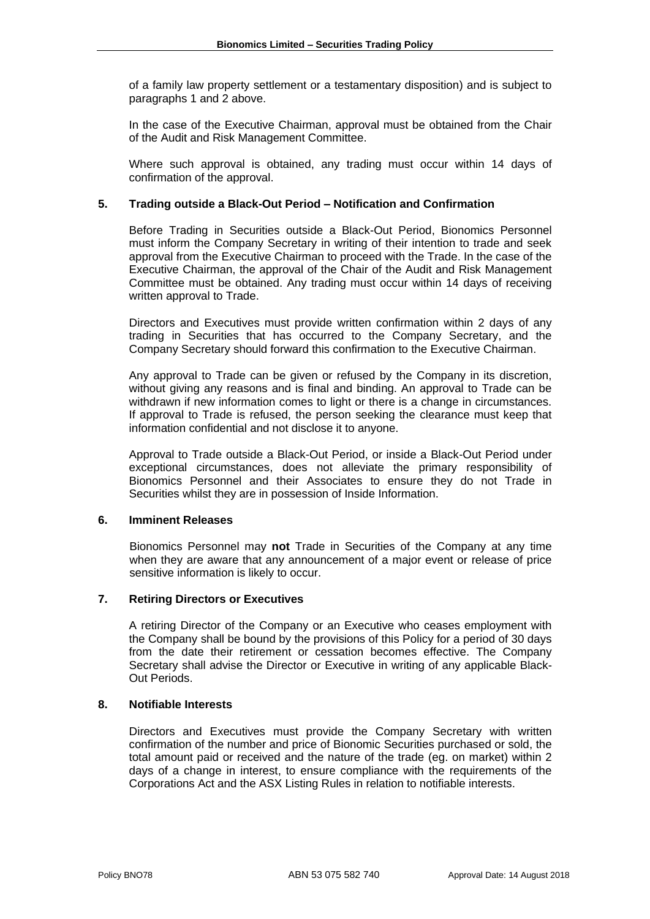of a family law property settlement or a testamentary disposition) and is subject to paragraphs 1 and 2 above.

In the case of the Executive Chairman, approval must be obtained from the Chair of the Audit and Risk Management Committee.

Where such approval is obtained, any trading must occur within 14 days of confirmation of the approval.

# **5. Trading outside a Black-Out Period – Notification and Confirmation**

Before Trading in Securities outside a Black-Out Period, Bionomics Personnel must inform the Company Secretary in writing of their intention to trade and seek approval from the Executive Chairman to proceed with the Trade. In the case of the Executive Chairman, the approval of the Chair of the Audit and Risk Management Committee must be obtained. Any trading must occur within 14 days of receiving written approval to Trade.

Directors and Executives must provide written confirmation within 2 days of any trading in Securities that has occurred to the Company Secretary, and the Company Secretary should forward this confirmation to the Executive Chairman.

Any approval to Trade can be given or refused by the Company in its discretion, without giving any reasons and is final and binding. An approval to Trade can be withdrawn if new information comes to light or there is a change in circumstances. If approval to Trade is refused, the person seeking the clearance must keep that information confidential and not disclose it to anyone.

Approval to Trade outside a Black-Out Period, or inside a Black-Out Period under exceptional circumstances, does not alleviate the primary responsibility of Bionomics Personnel and their Associates to ensure they do not Trade in Securities whilst they are in possession of Inside Information.

## **6. Imminent Releases**

Bionomics Personnel may **not** Trade in Securities of the Company at any time when they are aware that any announcement of a major event or release of price sensitive information is likely to occur.

## **7. Retiring Directors or Executives**

A retiring Director of the Company or an Executive who ceases employment with the Company shall be bound by the provisions of this Policy for a period of 30 days from the date their retirement or cessation becomes effective. The Company Secretary shall advise the Director or Executive in writing of any applicable Black-Out Periods.

## **8. Notifiable Interests**

Directors and Executives must provide the Company Secretary with written confirmation of the number and price of Bionomic Securities purchased or sold, the total amount paid or received and the nature of the trade (eg. on market) within 2 days of a change in interest, to ensure compliance with the requirements of the Corporations Act and the ASX Listing Rules in relation to notifiable interests.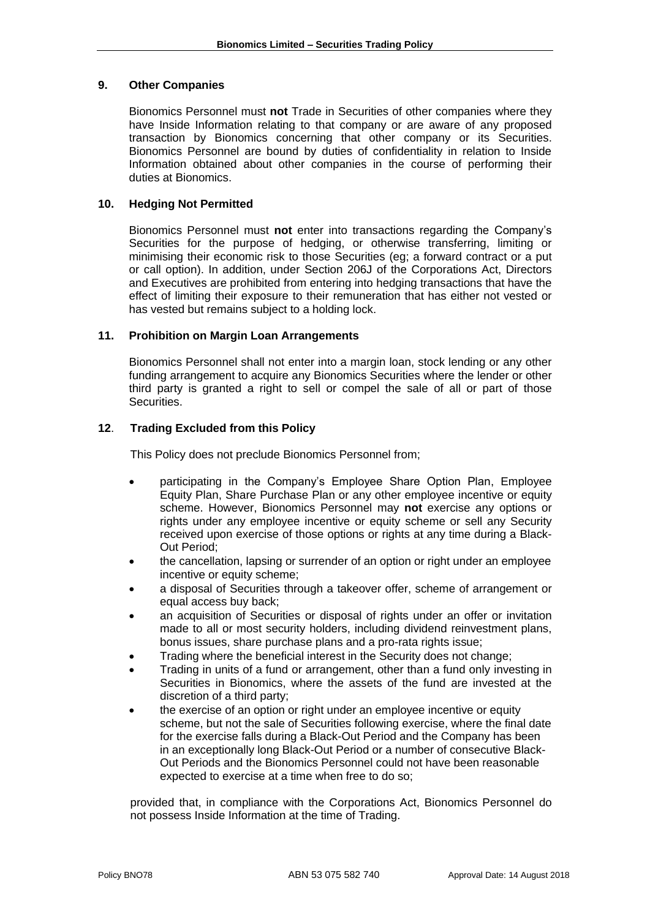## **9. Other Companies**

Bionomics Personnel must **not** Trade in Securities of other companies where they have Inside Information relating to that company or are aware of any proposed transaction by Bionomics concerning that other company or its Securities. Bionomics Personnel are bound by duties of confidentiality in relation to Inside Information obtained about other companies in the course of performing their duties at Bionomics.

## **10. Hedging Not Permitted**

Bionomics Personnel must **not** enter into transactions regarding the Company's Securities for the purpose of hedging, or otherwise transferring, limiting or minimising their economic risk to those Securities (eg; a forward contract or a put or call option). In addition, under Section 206J of the Corporations Act, Directors and Executives are prohibited from entering into hedging transactions that have the effect of limiting their exposure to their remuneration that has either not vested or has vested but remains subject to a holding lock.

# **11. Prohibition on Margin Loan Arrangements**

Bionomics Personnel shall not enter into a margin loan, stock lending or any other funding arrangement to acquire any Bionomics Securities where the lender or other third party is granted a right to sell or compel the sale of all or part of those Securities.

# **12**. **Trading Excluded from this Policy**

This Policy does not preclude Bionomics Personnel from;

- participating in the Company's Employee Share Option Plan, Employee Equity Plan, Share Purchase Plan or any other employee incentive or equity scheme. However, Bionomics Personnel may **not** exercise any options or rights under any employee incentive or equity scheme or sell any Security received upon exercise of those options or rights at any time during a Black-Out Period;
- the cancellation, lapsing or surrender of an option or right under an employee incentive or equity scheme;
- a disposal of Securities through a takeover offer, scheme of arrangement or equal access buy back;
- an acquisition of Securities or disposal of rights under an offer or invitation made to all or most security holders, including dividend reinvestment plans, bonus issues, share purchase plans and a pro-rata rights issue;
- Trading where the beneficial interest in the Security does not change;
- Trading in units of a fund or arrangement, other than a fund only investing in Securities in Bionomics, where the assets of the fund are invested at the discretion of a third party;
- the exercise of an option or right under an employee incentive or equity scheme, but not the sale of Securities following exercise, where the final date for the exercise falls during a Black-Out Period and the Company has been in an exceptionally long Black-Out Period or a number of consecutive Black-Out Periods and the Bionomics Personnel could not have been reasonable expected to exercise at a time when free to do so;

provided that, in compliance with the Corporations Act, Bionomics Personnel do not possess Inside Information at the time of Trading.